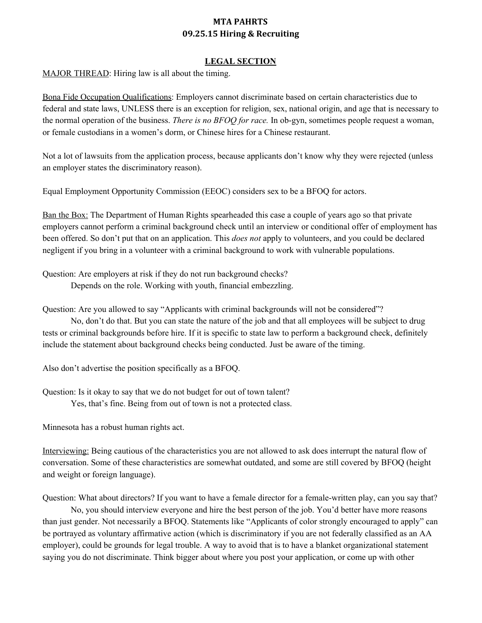#### **LEGAL SECTION**

MAJOR THREAD: Hiring law is all about the timing.

Bona Fide Occupation Qualifications: Employers cannot discriminate based on certain characteristics due to federal and state laws, UNLESS there is an exception for religion, sex, national origin, and age that is necessary to the normal operation of the business. *There* is no BFOQ for race. In ob-gyn, sometimes people request a woman, or female custodians in a women's dorm, or Chinese hires for a Chinese restaurant.

Not a lot of lawsuits from the application process, because applicants don't know why they were rejected (unless an employer states the discriminatory reason).

Equal Employment Opportunity Commission (EEOC) considers sex to be a BFOQ for actors.

Ban the Box: The Department of Human Rights spearheaded this case a couple of years ago so that private employers cannot perform a criminal background check until an interview or conditional offer of employment has been offered. So don't put that on an application. This *does not* apply to volunteers, and you could be declared negligent if you bring in a volunteer with a criminal background to work with vulnerable populations.

Question: Are employers at risk if they do not run background checks? Depends on the role. Working with youth, financial embezzling.

Question: Are you allowed to say "Applicants with criminal backgrounds will not be considered"?

No, don't do that. But you can state the nature of the job and that all employees will be subject to drug tests or criminal backgrounds before hire. If it is specific to state law to perform a background check, definitely include the statement about background checks being conducted. Just be aware of the timing.

Also don't advertise the position specifically as a BFOQ.

Question: Is it okay to say that we do not budget for out of town talent? Yes, that's fine. Being from out of town is not a protected class.

Minnesota has a robust human rights act.

Interviewing: Being cautious of the characteristics you are not allowed to ask does interrupt the natural flow of conversation. Some of these characteristics are somewhat outdated, and some are still covered by BFOQ (height and weight or foreign language).

Question: What about directors? If you want to have a female director for a female-written play, can you say that? No, you should interview everyone and hire the best person of the job. You'd better have more reasons than just gender. Not necessarily a BFOQ. Statements like "Applicants of color strongly encouraged to apply" can be portrayed as voluntary affirmative action (which is discriminatory if you are not federally classified as an AA employer), could be grounds for legal trouble. A way to avoid that is to have a blanket organizational statement saying you do not discriminate. Think bigger about where you post your application, or come up with other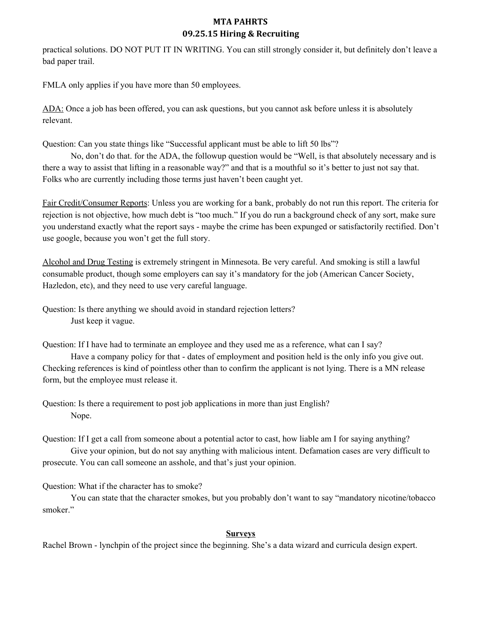practical solutions. DO NOT PUT IT IN WRITING. You can still strongly consider it, but definitely don't leave a bad paper trail.

FMLA only applies if you have more than 50 employees.

ADA: Once a job has been offered, you can ask questions, but you cannot ask before unless it is absolutely relevant.

Question: Can you state things like "Successful applicant must be able to lift 50 lbs"?

No, don't do that. for the ADA, the followup question would be "Well, is that absolutely necessary and is there a way to assist that lifting in a reasonable way?" and that is a mouthful so it's better to just not say that. Folks who are currently including those terms just haven't been caught yet.

Fair Credit/Consumer Reports: Unless you are working for a bank, probably do not run this report. The criteria for rejection is not objective, how much debt is "too much." If you do run a background check of any sort, make sure you understand exactly what the report says - maybe the crime has been expunged or satisfactorily rectified. Don't use google, because you won't get the full story.

Alcohol and Drug Testing is extremely stringent in Minnesota. Be very careful. And smoking is still a lawful consumable product, though some employers can say it's mandatory for the job (American Cancer Society, Hazledon, etc), and they need to use very careful language.

Question: Is there anything we should avoid in standard rejection letters? Just keep it vague.

Question: If I have had to terminate an employee and they used me as a reference, what can I say?

Have a company policy for that - dates of employment and position held is the only info you give out. Checking references is kind of pointless other than to confirm the applicant is not lying. There is a MN release form, but the employee must release it.

Question: Is there a requirement to post job applications in more than just English? Nope.

Question: If I get a call from someone about a potential actor to cast, how liable am I for saying anything? Give your opinion, but do not say anything with malicious intent. Defamation cases are very difficult to prosecute. You can call someone an asshole, and that's just your opinion.

Question: What if the character has to smoke?

You can state that the character smokes, but you probably don't want to say "mandatory nicotine/tobacco smoker."

### **Surveys**

Rachel Brown - lynchpin of the project since the beginning. She's a data wizard and curricula design expert.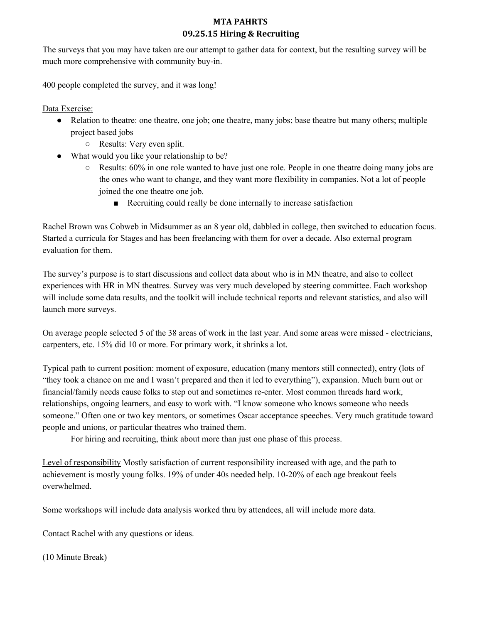The surveys that you may have taken are our attempt to gather data for context, but the resulting survey will be much more comprehensive with community buy-in.

400 people completed the survey, and it was long!

Data Exercise:

- Relation to theatre: one theatre, one job; one theatre, many jobs; base theatre but many others; multiple project based jobs
	- Results: Very even split.
- What would you like your relationship to be?
	- Results: 60% in one role wanted to have just one role. People in one theatre doing many jobs are the ones who want to change, and they want more flexibility in companies. Not a lot of people joined the one theatre one job.
		- Recruiting could really be done internally to increase satisfaction

Rachel Brown was Cobweb in Midsummer as an 8 year old, dabbled in college, then switched to education focus. Started a curricula for Stages and has been freelancing with them for over a decade. Also external program evaluation for them.

The survey's purpose is to start discussions and collect data about who is in MN theatre, and also to collect experiences with HR in MN theatres. Survey was very much developed by steering committee. Each workshop will include some data results, and the toolkit will include technical reports and relevant statistics, and also will launch more surveys.

On average people selected 5 of the 38 areas of work in the last year. And some areas were missed - electricians, carpenters, etc. 15% did 10 or more. For primary work, it shrinks a lot.

Typical path to current position: moment of exposure, education (many mentors still connected), entry (lots of "they took a chance on me and I wasn't prepared and then it led to everything"), expansion. Much burn out or financial/family needs cause folks to step out and sometimes re-enter. Most common threads hard work, relationships, ongoing learners, and easy to work with. "I know someone who knows someone who needs someone." Often one or two key mentors, or sometimes Oscar acceptance speeches. Very much gratitude toward people and unions, or particular theatres who trained them.

For hiring and recruiting, think about more than just one phase of this process.

Level of responsibility Mostly satisfaction of current responsibility increased with age, and the path to achievement is mostly young folks. 19% of under 40s needed help. 10-20% of each age breakout feels overwhelmed.

Some workshops will include data analysis worked thru by attendees, all will include more data.

Contact Rachel with any questions or ideas.

(10 Minute Break)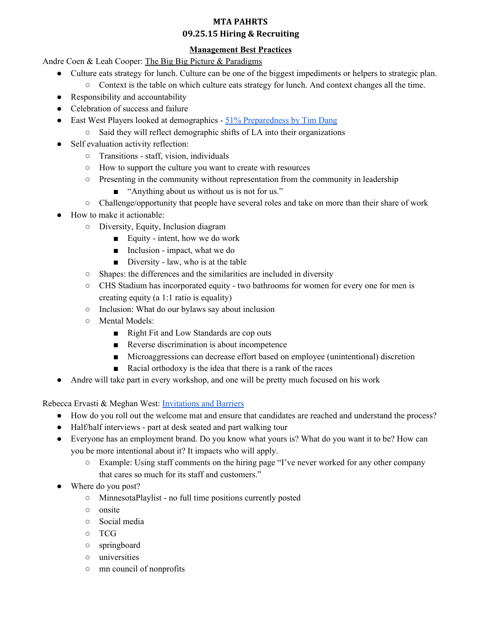### **Management Best Practices**

Andre Coen & Leah Cooper: The Big Big Picture & Paradigms

- Culture eats strategy for lunch. Culture can be one of the biggest impediments or helpers to strategic plan.
	- Context is the table on which culture eats strategy for lunch. And context changes all the time.
- Responsibility and accountability
- Celebration of success and failure
- East West Players looked at demographics 51% [Preparedness](http://www.tcgcircle.org/2015/03/tim-dang-of-east-west-players-launches-the-51-preparedness-plan-for-the-american-theatre-to-see-change/) by Tim Dang
	- Said they will reflect demographic shifts of LA into their organizations
- Self evaluation activity reflection:
	- Transitions staff, vision, individuals
	- How to support the culture you want to create with resources
	- Presenting in the community without representation from the community in leadership
		- "Anything about us without us is not for us."
	- Challenge/opportunity that people have several roles and take on more than their share of work
- How to make it actionable:
	- Diversity, Equity, Inclusion diagram
		- $\blacksquare$  Equity intent, how we do work
		- $\blacksquare$  Inclusion impact, what we do
		- $\blacksquare$  Diversity law, who is at the table
	- Shapes: the differences and the similarities are included in diversity
	- CHS Stadium has incorporated equity two bathrooms for women for every one for men is creating equity (a 1:1 ratio is equality)
	- Inclusion: What do our bylaws say about inclusion
	- Mental Models:
		- Right Fit and Low Standards are cop outs
		- Reverse discrimination is about incompetence
		- Microaggressions can decrease effort based on employee (unintentional) discretion
		- Racial orthodoxy is the idea that there is a rank of the races
- Andre will take part in every workshop, and one will be pretty much focused on his work

Rebecca Ervasti & Meghan West: [Invitations](http://mntheateralliance.org/docs/pahrts/1hiring/InvitationsBarriers.docx) and Barriers

- How do you roll out the welcome mat and ensure that candidates are reached and understand the process?
- Half/half interviews part at desk seated and part walking tour
- Everyone has an employment brand. Do you know what yours is? What do you want it to be? How can you be more intentional about it? It impacts who will apply.
	- Example: Using staff comments on the hiring page "I've never worked for any other company that cares so much for its staff and customers."
- Where do you post?
	- MinnesotaPlaylist no full time positions currently posted
	- onsite
	- Social media
	- TCG
	- springboard
	- universities
	- mn council of nonprofits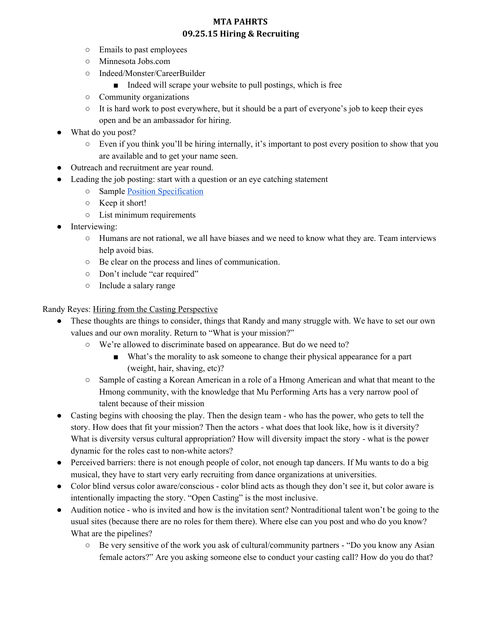- Emails to past employees
- Minnesota Jobs.com
- Indeed/Monster/CareerBuilder
	- Indeed will scrape your website to pull postings, which is free
- Community organizations
- It is hard work to post everywhere, but it should be a part of everyone's job to keep their eyes open and be an ambassador for hiring.
- What do you post?
	- $\circ$  Even if you think you'll be hiring internally, it's important to post every position to show that you are available and to get your name seen.
- Outreach and recruitment are year round.
- Leading the job posting: start with a question or an eye catching statement
	- Sample Position [Specification](http://mntheateralliance.org/docs/pahrts/1hiring/PositionSpecifications.docx)
	- Keep it short!
	- List minimum requirements
- Interviewing:
	- Humans are not rational, we all have biases and we need to know what they are. Team interviews help avoid bias.
	- Be clear on the process and lines of communication.
	- Don't include "car required"
	- Include a salary range

#### Randy Reyes: Hiring from the Casting Perspective

- These thoughts are things to consider, things that Randy and many struggle with. We have to set our own values and our own morality. Return to "What is your mission?"
	- We're allowed to discriminate based on appearance. But do we need to?
		- What's the morality to ask someone to change their physical appearance for a part (weight, hair, shaving, etc)?
	- Sample of casting a Korean American in a role of a Hmong American and what that meant to the Hmong community, with the knowledge that Mu Performing Arts has a very narrow pool of talent because of their mission
- Casting begins with choosing the play. Then the design team who has the power, who gets to tell the story. How does that fit your mission? Then the actors - what does that look like, how is it diversity? What is diversity versus cultural appropriation? How will diversity impact the story - what is the power dynamic for the roles cast to non-white actors?
- Perceived barriers: there is not enough people of color, not enough tap dancers. If Mu wants to do a big musical, they have to start very early recruiting from dance organizations at universities.
- Color blind versus color aware/conscious color blind acts as though they don't see it, but color aware is intentionally impacting the story. "Open Casting" is the most inclusive.
- Audition notice who is invited and how is the invitation sent? Nontraditional talent won't be going to the usual sites (because there are no roles for them there). Where else can you post and who do you know? What are the pipelines?
	- Be very sensitive of the work you ask of cultural/community partners "Do you know any Asian female actors?" Are you asking someone else to conduct your casting call? How do you do that?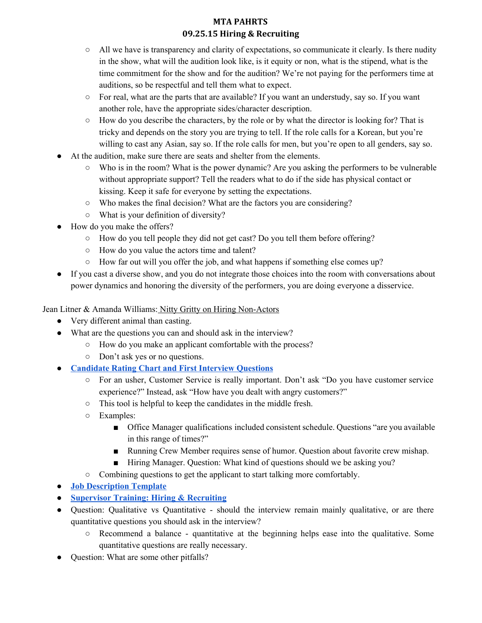- All we have is transparency and clarity of expectations, so communicate it clearly. Is there nudity in the show, what will the audition look like, is it equity or non, what is the stipend, what is the time commitment for the show and for the audition? We're not paying for the performers time at auditions, so be respectful and tell them what to expect.
- For real, what are the parts that are available? If you want an understudy, say so. If you want another role, have the appropriate sides/character description.
- How do you describe the characters, by the role or by what the director is looking for? That is tricky and depends on the story you are trying to tell. If the role calls for a Korean, but you're willing to cast any Asian, say so. If the role calls for men, but you're open to all genders, say so.
- At the audition, make sure there are seats and shelter from the elements.
	- Who is in the room? What is the power dynamic? Are you asking the performers to be vulnerable without appropriate support? Tell the readers what to do if the side has physical contact or kissing. Keep it safe for everyone by setting the expectations.
	- Who makes the final decision? What are the factors you are considering?
	- What is your definition of diversity?
- How do you make the offers?
	- How do you tell people they did not get cast? Do you tell them before offering?
	- How do you value the actors time and talent?
	- How far out will you offer the job, and what happens if something else comes up?
- If you cast a diverse show, and you do not integrate those choices into the room with conversations about power dynamics and honoring the diversity of the performers, you are doing everyone a disservice.

Jean Litner & Amanda Williams: Nitty Gritty on Hiring Non-Actors

- Very different animal than casting.
- What are the questions you can and should ask in the interview?
	- How do you make an applicant comfortable with the process?
	- Don't ask yes or no questions.
- **[Candidate](http://mntheateralliance.org/docs/pahrts/1hiring/CandidateRatingChartandFirstInterviewQuestionsGuthrie.docx) Rating Chart and First Interview Questions**
	- For an usher, Customer Service is really important. Don't ask "Do you have customer service experience?" Instead, ask "How have you dealt with angry customers?"
	- This tool is helpful to keep the candidates in the middle fresh.
	- Examples:
		- Office Manager qualifications included consistent schedule. Questions "are you available in this range of times?"
		- Running Crew Member requires sense of humor. Question about favorite crew mishap.
		- Hiring Manager. Question: What kind of questions should we be asking you?
	- Combining questions to get the applicant to start talking more comfortably.
- **Job [Description](http://mntheateralliance.org/docs/pahrts/1hiring/JobDescriptionTemplateGuthrie.docx) Template**
- **● [Supervisor](http://mntheateralliance.org/docs/pahrts/1hiring/SupervisorTrainingRecruitingGuthrie.docx) Training: Hiring & Recruiting**
- Question: Qualitative vs Quantitative should the interview remain mainly qualitative, or are there quantitative questions you should ask in the interview?
	- $\circ$  Recommend a balance quantitative at the beginning helps ease into the qualitative. Some quantitative questions are really necessary.
- Question: What are some other pitfalls?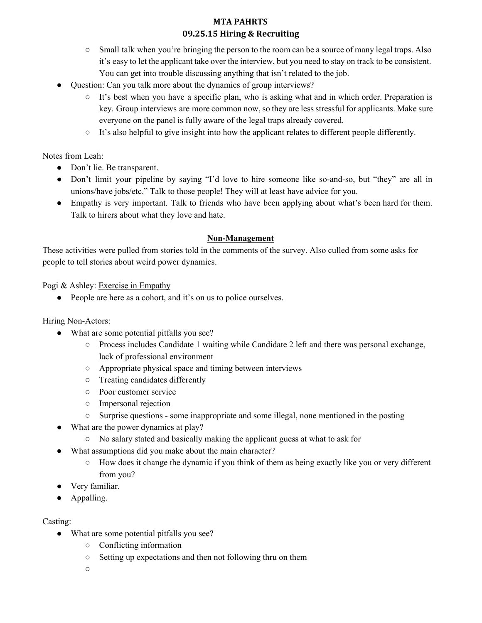- Small talk when you're bringing the person to the room can be a source of many legal traps. Also it's easy to let the applicant take over the interview, but you need to stay on track to be consistent. You can get into trouble discussing anything that isn't related to the job.
- Question: Can you talk more about the dynamics of group interviews?
	- $\circ$  It's best when you have a specific plan, who is asking what and in which order. Preparation is key. Group interviews are more common now, so they are less stressful for applicants. Make sure everyone on the panel is fully aware of the legal traps already covered.
	- $\circ$  It's also helpful to give insight into how the applicant relates to different people differently.

Notes from Leah:

- Don't lie. Be transparent.
- Don't limit your pipeline by saying "I'd love to hire someone like so-and-so, but "they" are all in unions/have jobs/etc." Talk to those people! They will at least have advice for you.
- Empathy is very important. Talk to friends who have been applying about what's been hard for them. Talk to hirers about what they love and hate.

### **Non-Management**

These activities were pulled from stories told in the comments of the survey. Also culled from some asks for people to tell stories about weird power dynamics.

Pogi & Ashley: Exercise in Empathy

● People are here as a cohort, and it's on us to police ourselves.

Hiring Non-Actors:

- What are some potential pitfalls you see?
	- Process includes Candidate 1 waiting while Candidate 2 left and there was personal exchange, lack of professional environment
	- Appropriate physical space and timing between interviews
	- Treating candidates differently
	- Poor customer service
	- Impersonal rejection
	- <sup>o</sup> Surprise questions some inappropriate and some illegal, none mentioned in the posting
- What are the power dynamics at play?
	- No salary stated and basically making the applicant guess at what to ask for
- What assumptions did you make about the main character?
	- How does it change the dynamic if you think of them as being exactly like you or very different from you?
- Very familiar.
- Appalling.

### Casting:

- What are some potential pitfalls you see?
	- Conflicting information
	- Setting up expectations and then not following thru on them

○